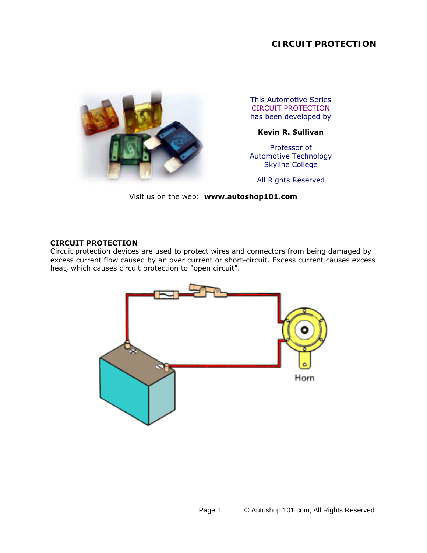

This Automotive Series CIRCUIT PROTECTION has been developed by

**Kevin R. Sullivan**

Professor of Automotive Technology Skyline College

All Rights Reserved

Visit us on the web: **www.autoshop101.com**

### **CIRCUIT PROTECTION**

Circuit protection devices are used to protect wires and connectors from being damaged by excess current flow caused by an over current or short-circuit. Excess current causes excess heat, which causes circuit protection to "open circuit".

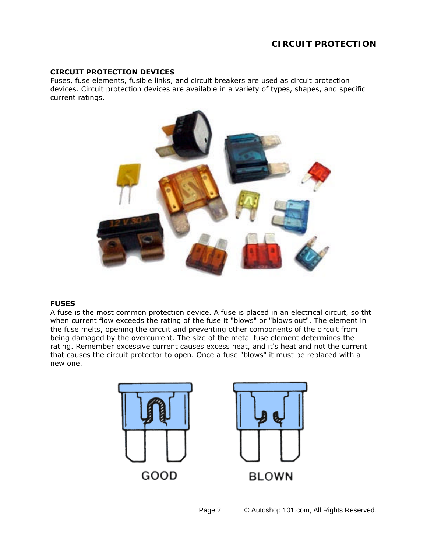#### **CIRCUIT PROTECTION DEVICES**

Fuses, fuse elements, fusible links, and circuit breakers are used as circuit protection devices. Circuit protection devices are available in a variety of types, shapes, and specific current ratings.



#### **FUSES**

A fuse is the most common protection device. A fuse is placed in an electrical circuit, so tht when current flow exceeds the rating of the fuse it "blows" or "blows out". The element in the fuse melts, opening the circuit and preventing other components of the circuit from being damaged by the overcurrent. The size of the metal fuse element determines the rating. Remember excessive current causes excess heat, and it's heat and not the current that causes the circuit protector to open. Once a fuse "blows" it must be replaced with a new one.



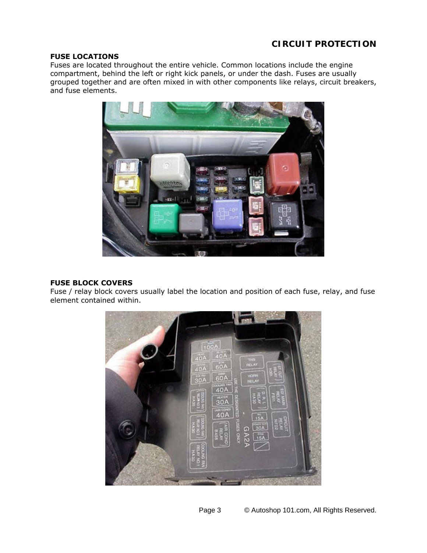#### **FUSE LOCATIONS**

Fuses are located throughout the entire vehicle. Common locations include the engine compartment, behind the left or right kick panels, or under the dash. Fuses are usually grouped together and are often mixed in with other components like relays, circuit breakers, and fuse elements.



#### **FUSE BLOCK COVERS**

Fuse / relay block covers usually label the location and position of each fuse, relay, and fuse element contained within.

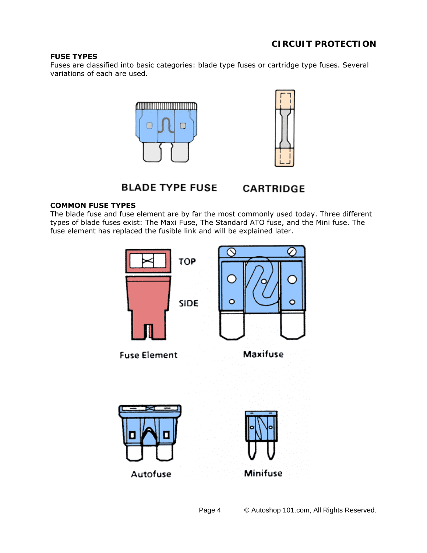#### **FUSE TYPES**

Fuses are classified into basic categories: blade type fuses or cartridge type fuses. Several variations of each are used.





# **BLADE TYPE FUSE**

# **CARTRIDGE**

#### **COMMON FUSE TYPES**

The blade fuse and fuse element are by far the most commonly used today. Three different types of blade fuses exist: The Maxi Fuse, The Standard ATO fuse, and the Mini fuse. The fuse element has replaced the fusible link and will be explained later.

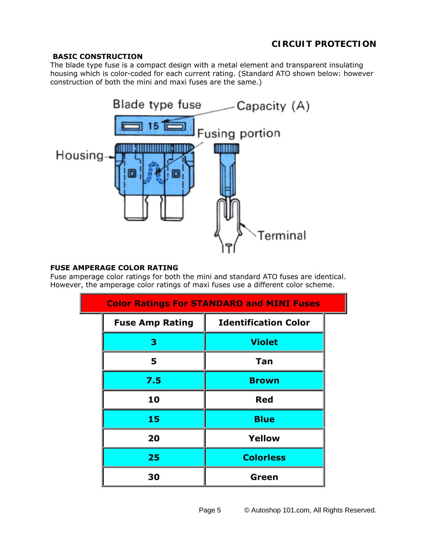### **BASIC CONSTRUCTION**

The blade type fuse is a compact design with a metal element and transparent insulating housing which is color-coded for each current rating. (Standard ATO shown below: however construction of both the mini and maxi fuses are the same.)



#### **FUSE AMPERAGE COLOR RATING**

Fuse amperage color ratings for both the mini and standard ATO fuses are identical. However, the amperage color ratings of maxi fuses use a different color scheme.

| <b>Color Ratings For STANDARD and MINI Fuses</b> |                             |  |  |  |
|--------------------------------------------------|-----------------------------|--|--|--|
| <b>Fuse Amp Rating</b>                           | <b>Identification Color</b> |  |  |  |
| 3                                                | <b>Violet</b>               |  |  |  |
| 5                                                | <b>Tan</b>                  |  |  |  |
| 7.5                                              | <b>Brown</b>                |  |  |  |
| 10                                               | <b>Red</b>                  |  |  |  |
| 15                                               | <b>Blue</b>                 |  |  |  |
| 20                                               | <b>Yellow</b>               |  |  |  |
| 25                                               | <b>Colorless</b>            |  |  |  |
| 30                                               | <b>Green</b>                |  |  |  |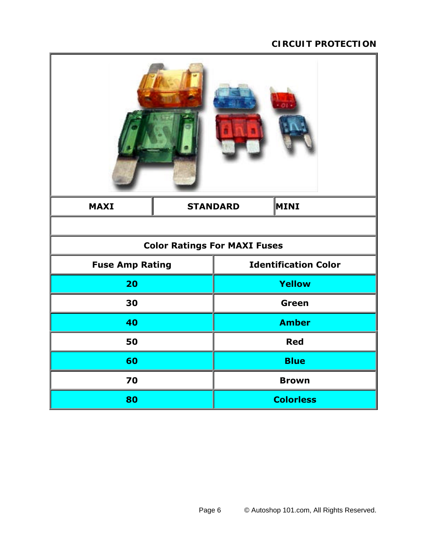| <b>MAXI</b>                         | <b>STANDARD</b> |                             | MINI |  |  |  |  |
|-------------------------------------|-----------------|-----------------------------|------|--|--|--|--|
|                                     |                 |                             |      |  |  |  |  |
| <b>Color Ratings For MAXI Fuses</b> |                 |                             |      |  |  |  |  |
| <b>Fuse Amp Rating</b>              |                 | <b>Identification Color</b> |      |  |  |  |  |
| 20                                  |                 | <b>Yellow</b>               |      |  |  |  |  |
| 30                                  |                 | Green                       |      |  |  |  |  |
| 40                                  |                 | <b>Amber</b>                |      |  |  |  |  |
| 50                                  |                 | <b>Red</b>                  |      |  |  |  |  |
| 60                                  |                 | <b>Blue</b>                 |      |  |  |  |  |
| 70                                  |                 | <b>Brown</b>                |      |  |  |  |  |
| 80                                  |                 | <b>Colorless</b>            |      |  |  |  |  |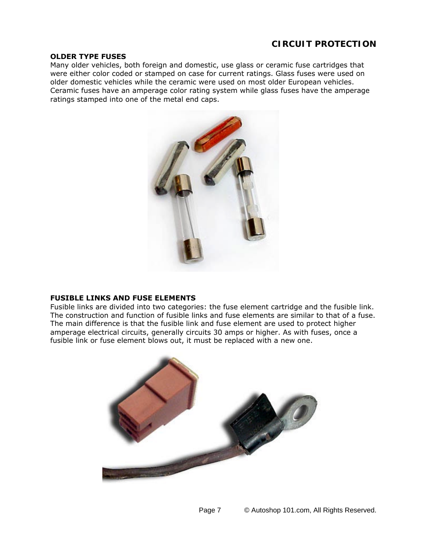#### **OLDER TYPE FUSES**

Many older vehicles, both foreign and domestic, use glass or ceramic fuse cartridges that were either color coded or stamped on case for current ratings. Glass fuses were used on older domestic vehicles while the ceramic were used on most older European vehicles. Ceramic fuses have an amperage color rating system while glass fuses have the amperage ratings stamped into one of the metal end caps.



#### **FUSIBLE LINKS AND FUSE ELEMENTS**

Fusible links are divided into two categories: the fuse element cartridge and the fusible link. The construction and function of fusible links and fuse elements are similar to that of a fuse. The main difference is that the fusible link and fuse element are used to protect higher amperage electrical circuits, generally circuits 30 amps or higher. As with fuses, once a fusible link or fuse element blows out, it must be replaced with a new one.

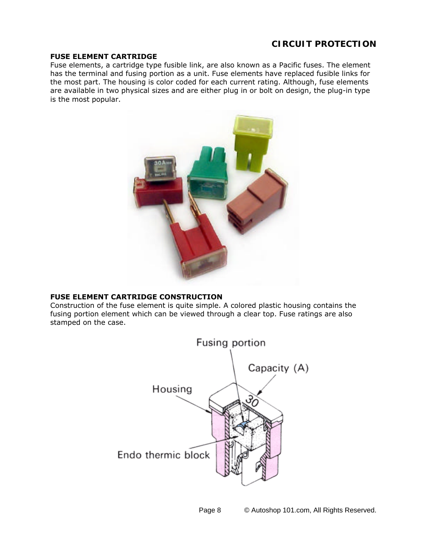#### **FUSE ELEMENT CARTRIDGE**

Fuse elements, a cartridge type fusible link, are also known as a Pacific fuses. The element has the terminal and fusing portion as a unit. Fuse elements have replaced fusible links for the most part. The housing is color coded for each current rating. Although, fuse elements are available in two physical sizes and are either plug in or bolt on design, the plug-in type is the most popular.



#### **FUSE ELEMENT CARTRIDGE CONSTRUCTION**

Construction of the fuse element is quite simple. A colored plastic housing contains the fusing portion element which can be viewed through a clear top. Fuse ratings are also stamped on the case.

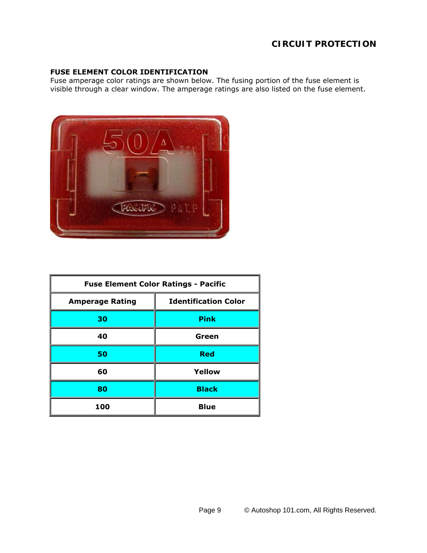### **FUSE ELEMENT COLOR IDENTIFICATION**

Fuse amperage color ratings are shown below. The fusing portion of the fuse element is visible through a clear window. The amperage ratings are also listed on the fuse element.



| <b>Fuse Element Color Ratings - Pacific</b> |                             |  |  |  |
|---------------------------------------------|-----------------------------|--|--|--|
| <b>Amperage Rating</b>                      | <b>Identification Color</b> |  |  |  |
| 30                                          | <b>Pink</b>                 |  |  |  |
| 40                                          | Green                       |  |  |  |
| 50                                          | <b>Red</b>                  |  |  |  |
| 60                                          | Yellow                      |  |  |  |
| 80                                          | <b>Black</b>                |  |  |  |
| 100                                         | <b>Blue</b>                 |  |  |  |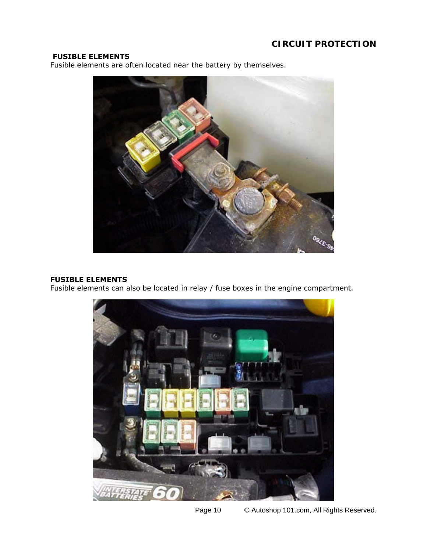#### **FUSIBLE ELEMENTS**

Fusible elements are often located near the battery by themselves.



#### **FUSIBLE ELEMENTS**

Fusible elements can also be located in relay / fuse boxes in the engine compartment.



Page 10 © Autoshop 101.com, All Rights Reserved.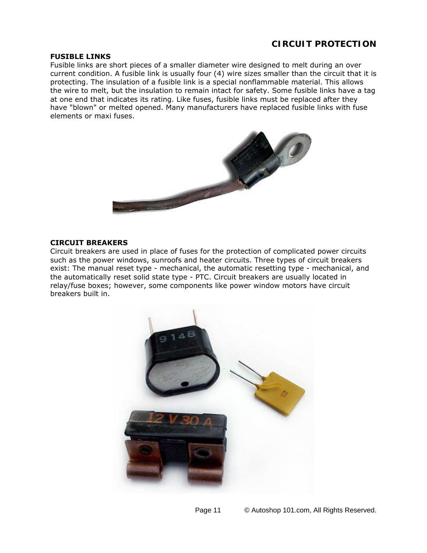#### **FUSIBLE LINKS**

Fusible links are short pieces of a smaller diameter wire designed to melt during an over current condition. A fusible link is usually four (4) wire sizes smaller than the circuit that it is protecting. The insulation of a fusible link is a special nonflammable material. This allows the wire to melt, but the insulation to remain intact for safety. Some fusible links have a tag at one end that indicates its rating. Like fuses, fusible links must be replaced after they have "blown" or melted opened. Many manufacturers have replaced fusible links with fuse elements or maxi fuses.



#### **CIRCUIT BREAKERS**

Circuit breakers are used in place of fuses for the protection of complicated power circuits such as the power windows, sunroofs and heater circuits. Three types of circuit breakers exist: The manual reset type - mechanical, the automatic resetting type - mechanical, and the automatically reset solid state type - PTC. Circuit breakers are usually located in relay/fuse boxes; however, some components like power window motors have circuit breakers built in.

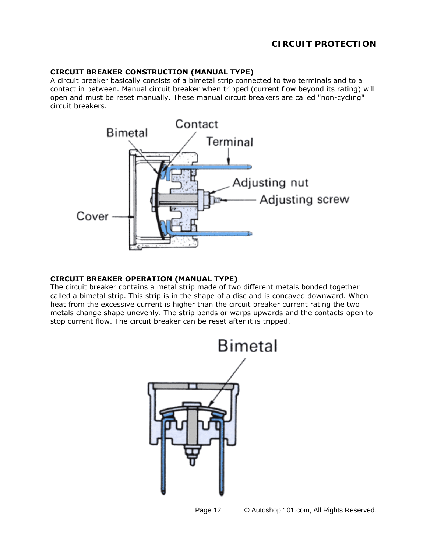### **CIRCUIT BREAKER CONSTRUCTION (MANUAL TYPE)**

A circuit breaker basically consists of a bimetal strip connected to two terminals and to a contact in between. Manual circuit breaker when tripped (current flow beyond its rating) will open and must be reset manually. These manual circuit breakers are called "non-cycling" circuit breakers.



#### **CIRCUIT BREAKER OPERATION (MANUAL TYPE)**

The circuit breaker contains a metal strip made of two different metals bonded together called a bimetal strip. This strip is in the shape of a disc and is concaved downward. When heat from the excessive current is higher than the circuit breaker current rating the two metals change shape unevenly. The strip bends or warps upwards and the contacts open to stop current flow. The circuit breaker can be reset after it is tripped.

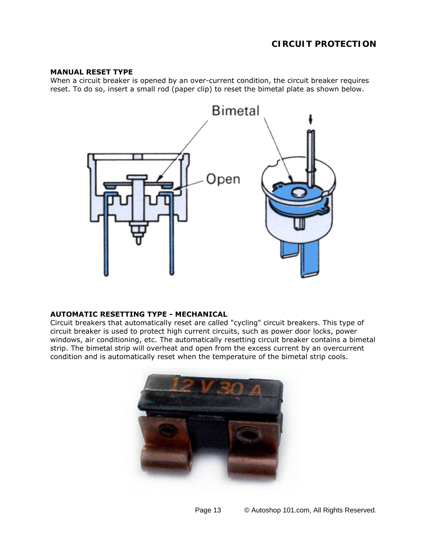#### **MANUAL RESET TYPE**

When a circuit breaker is opened by an over-current condition, the circuit breaker requires reset. To do so, insert a small rod (paper clip) to reset the bimetal plate as shown below.



#### **AUTOMATIC RESETTING TYPE - MECHANICAL**

Circuit breakers that automatically reset are called "cycling" circuit breakers. This type of circuit breaker is used to protect high current circuits, such as power door locks, power windows, air conditioning, etc. The automatically resetting circuit breaker contains a bimetal strip. The bimetal strip will overheat and open from the excess current by an overcurrent condition and is automatically reset when the temperature of the bimetal strip cools.

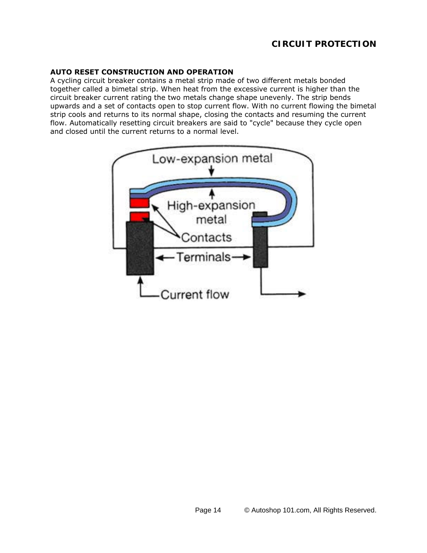#### **AUTO RESET CONSTRUCTION AND OPERATION**

A cycling circuit breaker contains a metal strip made of two different metals bonded together called a bimetal strip. When heat from the excessive current is higher than the circuit breaker current rating the two metals change shape unevenly. The strip bends upwards and a set of contacts open to stop current flow. With no current flowing the bimetal strip cools and returns to its normal shape, closing the contacts and resuming the current flow. Automatically resetting circuit breakers are said to "cycle" because they cycle open and closed until the current returns to a normal level.